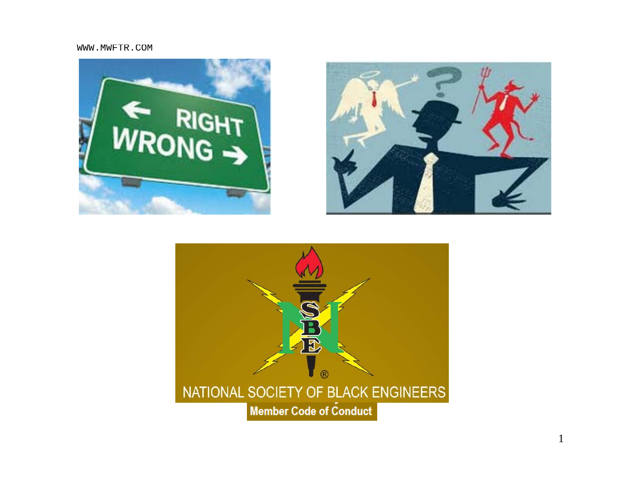WWW.MWFTR.COM





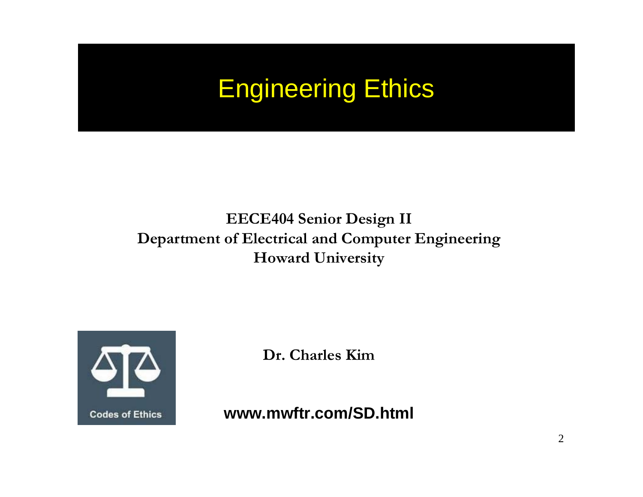## Engineering Ethics

#### **EECE404 Senior Design II Department of Electrical and Computer Engineering Howard University**



**Dr. Charles Kim**

**www.mwftr.com/SD.html**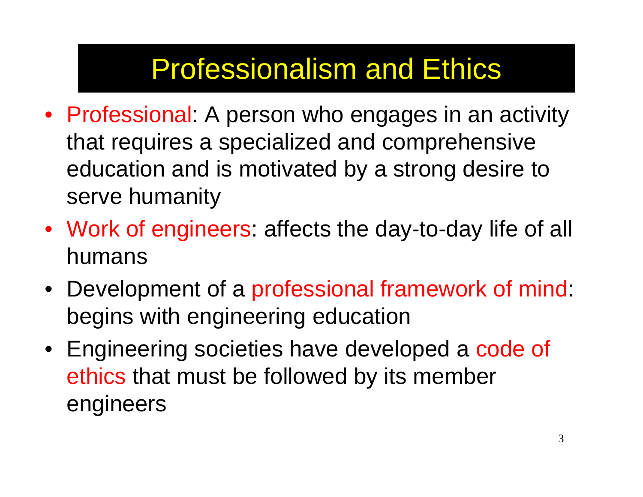# Professionalism and Ethics

- Professional: A person who engages in an activity that requires a specialized and comprehensive education and is motivated by a strong desire to serve humanity
- Work of engineers: affects the day-to-day life of all humans
- Development of a professional framework of mind: begins with engineering education
- Engineering societies have developed a code of ethics that must be followed by its member engineers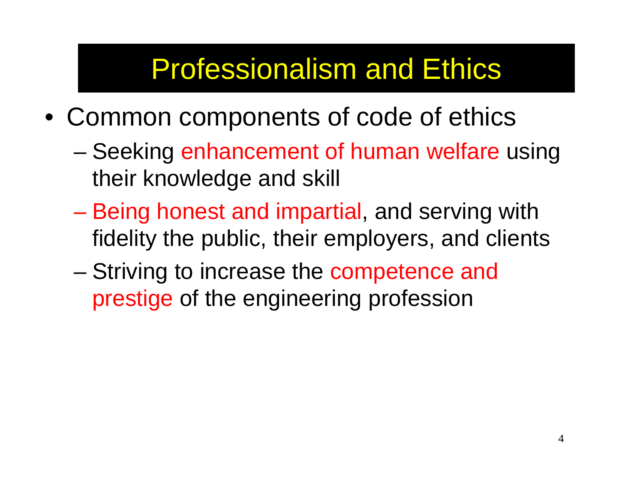# Professionalism and Ethics

- Common components of code of ethics
	- Seeking enhancement of human welfare using their knowledge and skill
	- Being honest and impartial, and serving with fidelity the public, their employers, and clients
	- Striving to increase the competence and prestige of the engineering profession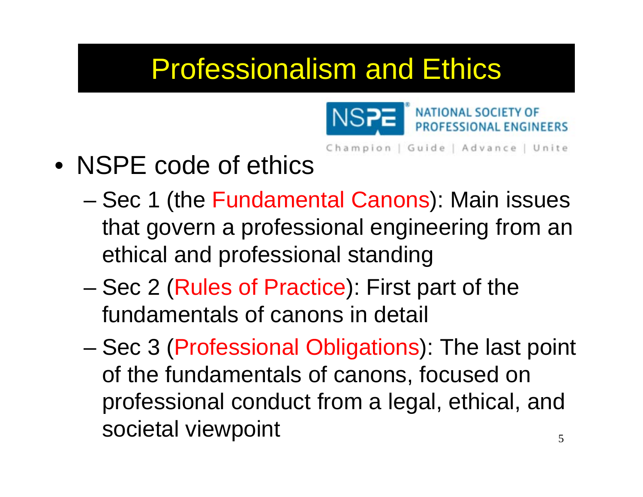# Professionalism and Ethics



Champion | Guide | Advance | Unite

- NSPE code of ethics
	- Sec 1 (the Fundamental Canons): Main issues that govern a professional engineering from an ethical and professional standing
	- – Sec 2 (Rules of Practice): First part of the fundamentals of canons in detail
	- Sec 3 (Professional Obligations): The last point of the fundamentals of canons, focused on professional conduct from a legal, ethical, and societal viewpoint 5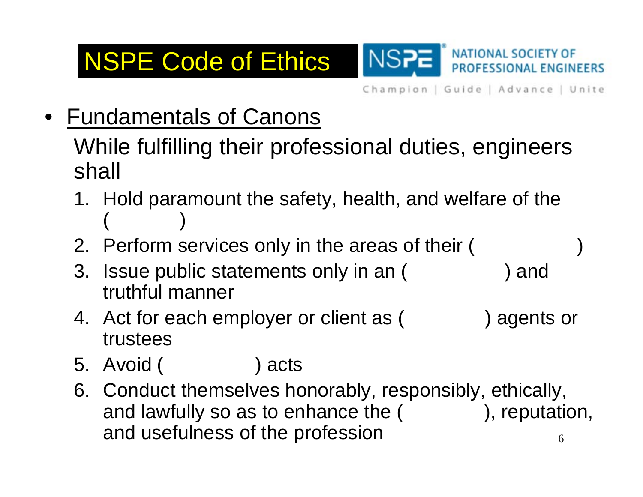## NSPE Code of Ethics



Champion | Guide | Advance | Unite

 $\bullet$ Fundamentals of Canons

> While fulfilling their professional duties, engineers shall

- 1. Hold paramount the safety, health, and welfare of the  $($
- 2. Perform services only in the areas of their (
- 3. Issue public statements only in an ( ) and truthful manner
- 4. Act for each employer or client as ( ) agents or trustees
- 5. Avoid ( ) acts
- 6. Conduct themselves honorably, responsibly, ethically, and lawfully so as to enhance the  $($ , reputation, and usefulness of the profession 6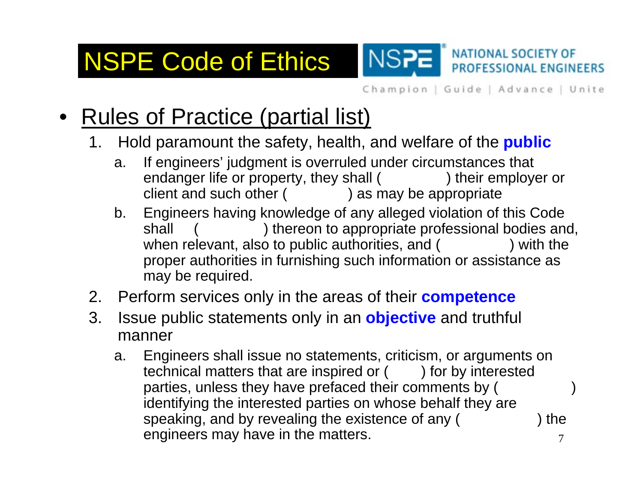NSPE Code of Ethics

Champion | Guide | Advance | Unite

**NATIONAL SOCIETY OF** 

PROFESSIONAL ENGINEERS

- • Rules of Practice (partial list)
	- 1. Hold paramount the safety, health, and welfare of the **public**
		- a. If engineers' judgment is overruled under circumstances that endanger life or property, they shall ( ) their employer or client and such other ( ) as may be appropriate

NS<sub>7</sub>

- b. Engineers having knowledge of any alleged violation of this Code shall ( ) thereon to appropriate professional bodies and, when relevant, also to public authorities, and ( ) with the proper authorities in furnishing such information or assistance as may be required.
- 2. Perform services only in the areas of their **competence**
- 3. Issue public statements only in an **objective** and truthful manner
	- a. Engineers shall issue no statements, criticism, or arguments on technical matters that are inspired or  $($  ) for by interested parties, unless they have prefaced their comments by ( ) identifying the interested parties on whose behalf they are speaking, and by revealing the existence of any (
	) the engineers may have in the matters. 7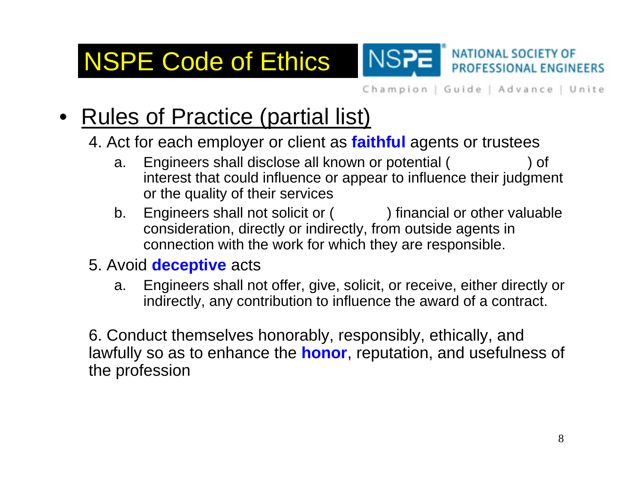Champion | Guide | Advance | Unite

**NATIONAL SOCIETY OF** 

**PROFESSIONAL ENGINEERS** 

## • Rules of Practice (partial list)

NSPE Code of Ethics

#### 4. Act for each employer or client as **faithful** agents or trustees

a. Engineers shall disclose all known or potential ( ) of interest that could influence or appear to influence their judgment or the quality of their services

**NSP** 

- b. Engineers shall not solicit or () financial or other valuable consideration, directly or indirectly, from outside agents in connection with the work for which they are responsible.
- 5. Avoid **deceptive** acts
	- a. Engineers shall not offer, give, solicit, or receive, either directly or indirectly, any contribution to influence the award of a contract.

6. Conduct themselves honorably, responsibly, ethically, and lawfully so as to enhance the **honor**, reputation, and usefulness of the profession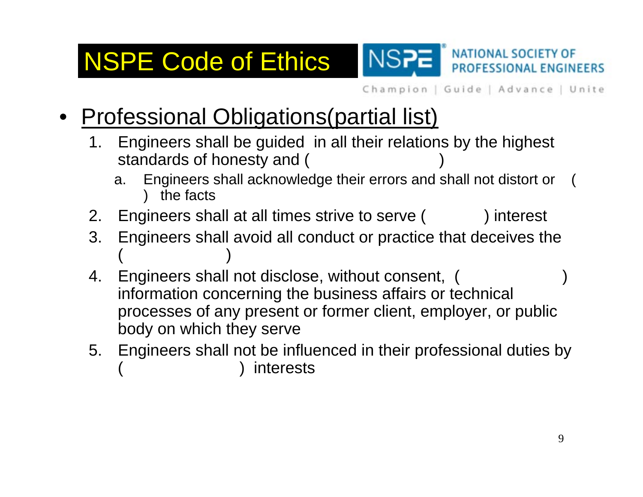## NSPE Code of Ethics

Champion | Guide | Advance | Unite

**NATIONAL SOCIETY OF** 

PROFESSIONAL ENGINEERS

- • Professional Obligations(partial list)
	- 1. Engineers shall be guided in all their relations by the highest standards of honesty and ( )
		- a. Engineers shall acknowledge their errors and shall not distort or ( ) the facts

NS<sub>r</sub>

- 2. Engineers shall at all times strive to serve ( ) interest
- 3. Engineers shall avoid all conduct or practice that deceives the  $($
- 4. Engineers shall not disclose, without consent, ( information concerning the business affairs or technical processes of any present or former client, employer, or public body on which they serve
- 5. Engineers shall not be influenced in their professional duties by *interests*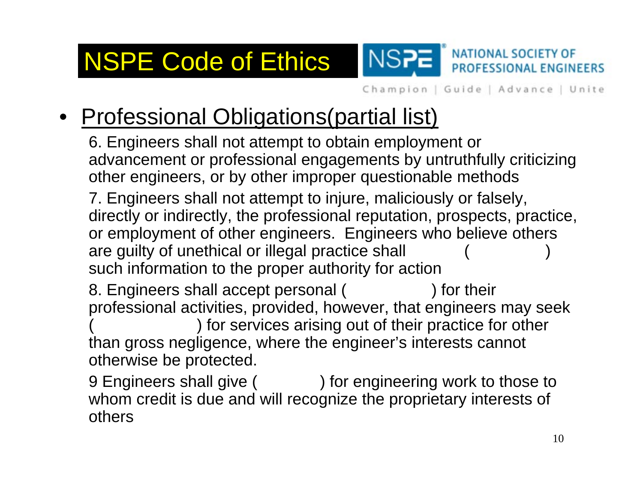**NATIONAL SOCIETY OF** NSPE Code of Ethics NS<sub>2</sub> PROFESSIONAL ENGINEERS

Champion | Guide | Advance | Unite

## • Professional Obligations(partial list)

6. Engineers shall not attempt to obtain employment or advancement or professional engagements by untruthfully criticizing other engineers, or by other improper questionable methods 7. Engineers shall not attempt to injure, maliciously or falsely,

directly or indirectly, the professional reputation, prospects, practice, or employment of other engineers. Engineers who believe others are guilty of unethical or illegal practice shall such information to the proper authority for action

8. Engineers shall accept personal ( ) for their professional activities, provided, however, that engineers may seek ) for services arising out of their practice for other than gross negligence, where the engineer's interests cannot otherwise be protected.

9 Engineers shall give ( ) for engineering work to those to whom credit is due and will recognize the proprietary interests of others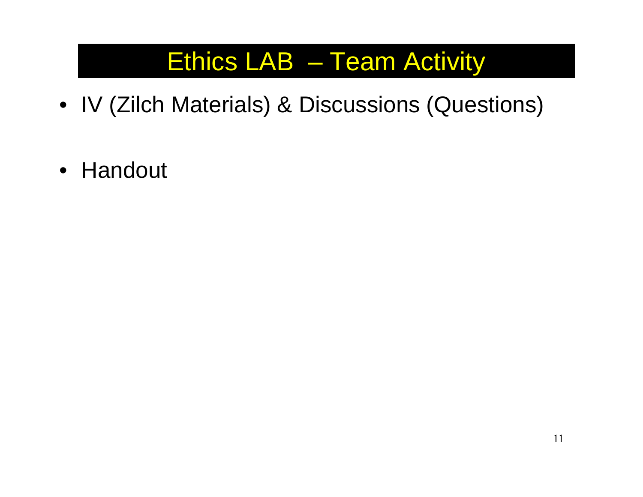## Ethics LAB – Team Activity

- IV (Zilch Materials) & Discussions (Questions)
- Handout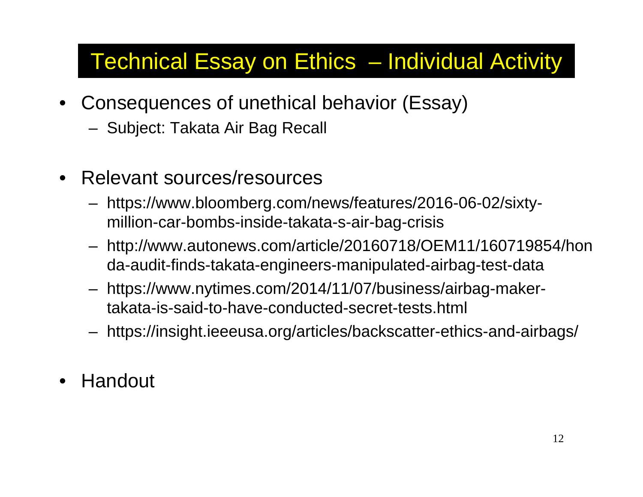- Consequences of unethical behavior (Essay)
	- Subject: Takata Air Bag Recall
- Relevant sources/resources
	- https://www.bloomberg.com/news/features/2016-06-02/sixtymillion-car-bombs-inside-takata-s-air-bag-crisis
	- http://www.autonews.com/article/20160718/OEM11/160719854/hon da-audit-finds-takata-engineers-manipulated-airbag-test-data
	- https://www.nytimes.com/2014/11/07/business/airbag-makertakata-is-said-to-have-conducted-secret-tests.html
	- https://insight.ieeeusa.org/articles/backscatter-ethics-and-airbags/
- •Handout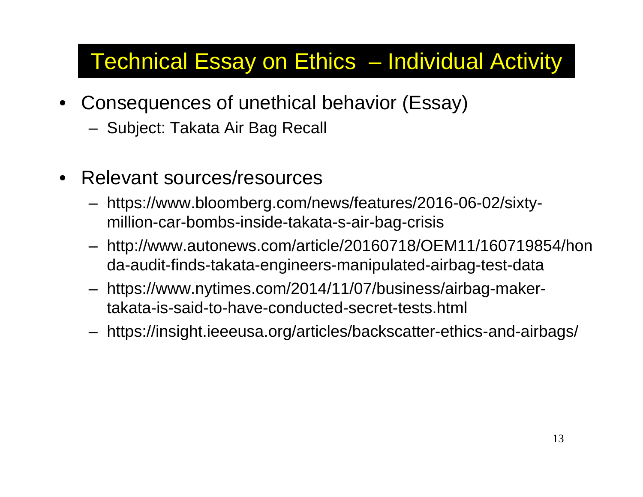- Consequences of unethical behavior (Essay)
	- Subject: Takata Air Bag Recall
- Relevant sources/resources
	- https://www.bloomberg.com/news/features/2016-06-02/sixtymillion-car-bombs-inside-takata-s-air-bag-crisis
	- http://www.autonews.com/article/20160718/OEM11/160719854/hon da-audit-finds-takata-engineers-manipulated-airbag-test-data
	- https://www.nytimes.com/2014/11/07/business/airbag-makertakata-is-said-to-have-conducted-secret-tests.html
	- https://insight.ieeeusa.org/articles/backscatter-ethics-and-airbags/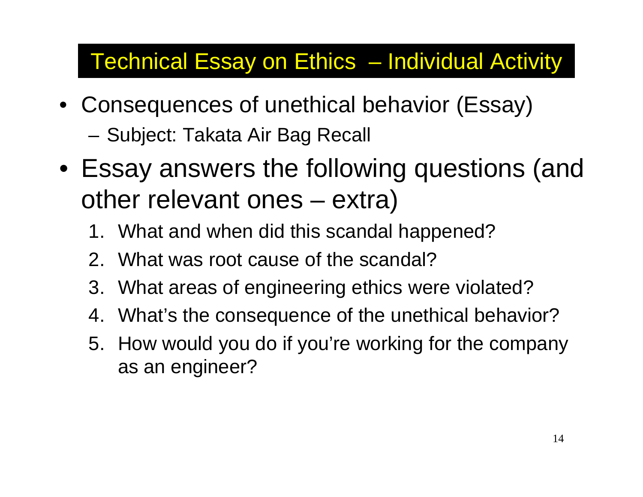- Consequences of unethical behavior (Essay) –Subject: Takata Air Bag Recall
- Essay answers the following questions (and other relevant ones – extra)
	- 1. What and when did this scandal happened?
	- 2. What was root cause of the scandal?
	- 3. What areas of engineering ethics were violated?
	- 4. What's the consequence of the unethical behavior?
	- 5. How would you do if you're working for the company as an engineer?